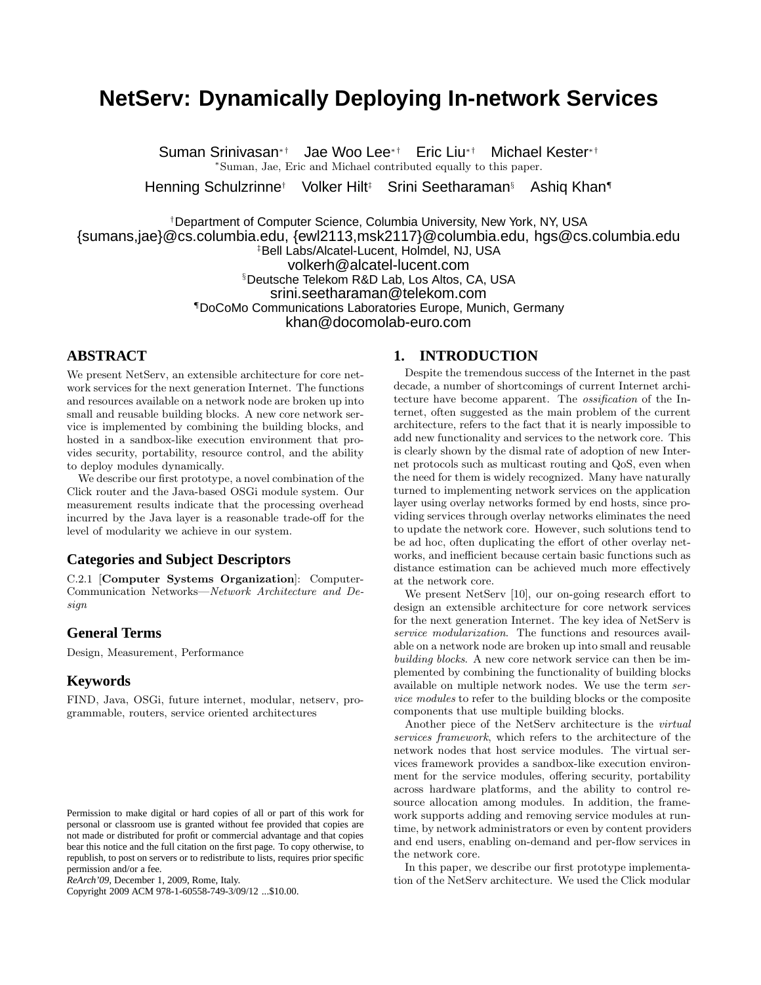# **NetServ: Dynamically Deploying In-network Services**

Suman Srinivasan<sup>∗†</sup> Jae Woo Lee<sup>∗†</sup> Eric Liu<sup>∗†</sup> Michael Kester<sup>∗†</sup> <sup>∗</sup>Suman, Jae, Eric and Michael contributed equally to this paper.

Henning Schulzrinne† Volker Hilt<sup>‡</sup> Srini Seetharaman<sup>§</sup> Ashiq Khan¶

†Department of Computer Science, Columbia University, New York, NY, USA {sumans,jae}@cs.columbia.edu, {ewl2113,msk2117}@columbia.edu, hgs@cs.columbia.edu ‡Bell Labs/Alcatel-Lucent, Holmdel, NJ, USA volkerh@alcatel-lucent.com §Deutsche Telekom R&D Lab, Los Altos, CA, USA srini.seetharaman@telekom.com ¶DoCoMo Communications Laboratories Europe, Munich, Germany khan@docomolab-euro.com

# **ABSTRACT**

We present NetServ, an extensible architecture for core network services for the next generation Internet. The functions and resources available on a network node are broken up into small and reusable building blocks. A new core network service is implemented by combining the building blocks, and hosted in a sandbox-like execution environment that provides security, portability, resource control, and the ability to deploy modules dynamically.

We describe our first prototype, a novel combination of the Click router and the Java-based OSGi module system. Our measurement results indicate that the processing overhead incurred by the Java layer is a reasonable trade-off for the level of modularity we achieve in our system.

# **Categories and Subject Descriptors**

C.2.1 [Computer Systems Organization]: Computer-Communication Networks—Network Architecture and Design

# **General Terms**

Design, Measurement, Performance

## **Keywords**

FIND, Java, OSGi, future internet, modular, netserv, programmable, routers, service oriented architectures

Copyright 2009 ACM 978-1-60558-749-3/09/12 ...\$10.00.

# **1. INTRODUCTION**

Despite the tremendous success of the Internet in the past decade, a number of shortcomings of current Internet architecture have become apparent. The ossification of the Internet, often suggested as the main problem of the current architecture, refers to the fact that it is nearly impossible to add new functionality and services to the network core. This is clearly shown by the dismal rate of adoption of new Internet protocols such as multicast routing and QoS, even when the need for them is widely recognized. Many have naturally turned to implementing network services on the application layer using overlay networks formed by end hosts, since providing services through overlay networks eliminates the need to update the network core. However, such solutions tend to be ad hoc, often duplicating the effort of other overlay networks, and inefficient because certain basic functions such as distance estimation can be achieved much more effectively at the network core.

We present NetServ [10], our on-going research effort to design an extensible architecture for core network services for the next generation Internet. The key idea of NetServ is service modularization. The functions and resources available on a network node are broken up into small and reusable building blocks. A new core network service can then be implemented by combining the functionality of building blocks available on multiple network nodes. We use the term service modules to refer to the building blocks or the composite components that use multiple building blocks.

Another piece of the NetServ architecture is the virtual services framework, which refers to the architecture of the network nodes that host service modules. The virtual services framework provides a sandbox-like execution environment for the service modules, offering security, portability across hardware platforms, and the ability to control resource allocation among modules. In addition, the framework supports adding and removing service modules at runtime, by network administrators or even by content providers and end users, enabling on-demand and per-flow services in the network core.

In this paper, we describe our first prototype implementation of the NetServ architecture. We used the Click modular

Permission to make digital or hard copies of all or part of this work for personal or classroom use is granted without fee provided that copies are not made or distributed for profit or commercial advantage and that copies bear this notice and the full citation on the first page. To copy otherwise, to republish, to post on servers or to redistribute to lists, requires prior specific permission and/or a fee.

*ReArch'09,* December 1, 2009, Rome, Italy.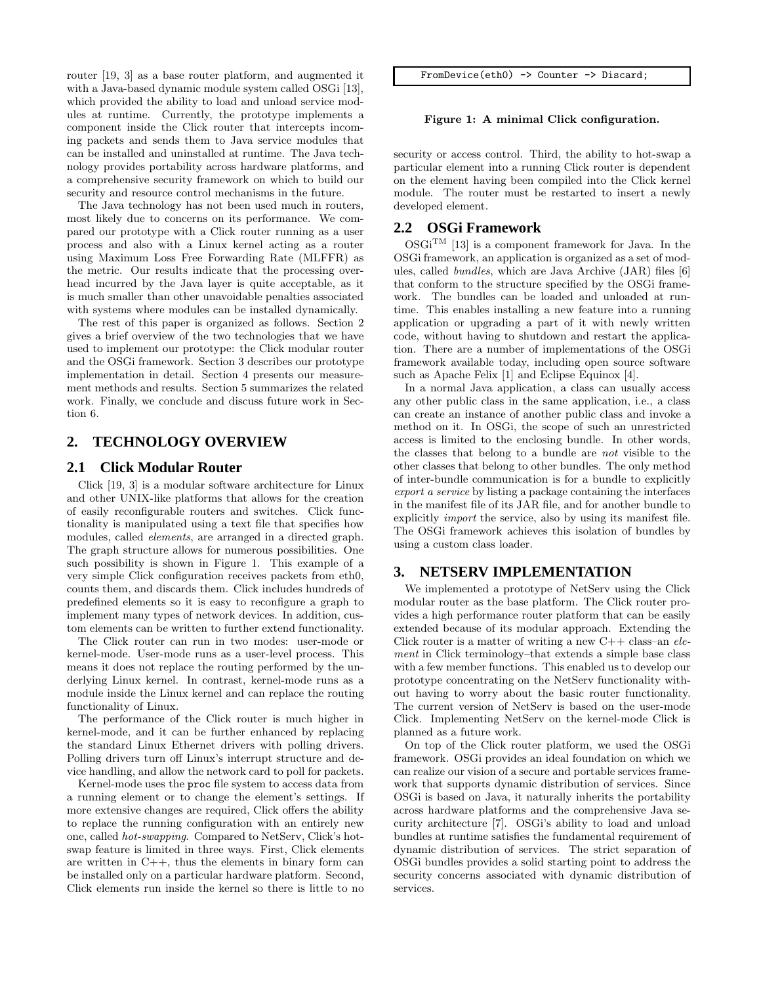router [19, 3] as a base router platform, and augmented it with a Java-based dynamic module system called OSGi [13], which provided the ability to load and unload service modules at runtime. Currently, the prototype implements a component inside the Click router that intercepts incoming packets and sends them to Java service modules that can be installed and uninstalled at runtime. The Java technology provides portability across hardware platforms, and a comprehensive security framework on which to build our security and resource control mechanisms in the future.

The Java technology has not been used much in routers, most likely due to concerns on its performance. We compared our prototype with a Click router running as a user process and also with a Linux kernel acting as a router using Maximum Loss Free Forwarding Rate (MLFFR) as the metric. Our results indicate that the processing overhead incurred by the Java layer is quite acceptable, as it is much smaller than other unavoidable penalties associated with systems where modules can be installed dynamically.

The rest of this paper is organized as follows. Section 2 gives a brief overview of the two technologies that we have used to implement our prototype: the Click modular router and the OSGi framework. Section 3 describes our prototype implementation in detail. Section 4 presents our measurement methods and results. Section 5 summarizes the related work. Finally, we conclude and discuss future work in Section 6.

# **2. TECHNOLOGY OVERVIEW**

#### **2.1 Click Modular Router**

Click [19, 3] is a modular software architecture for Linux and other UNIX-like platforms that allows for the creation of easily reconfigurable routers and switches. Click functionality is manipulated using a text file that specifies how modules, called *elements*, are arranged in a directed graph. The graph structure allows for numerous possibilities. One such possibility is shown in Figure 1. This example of a very simple Click configuration receives packets from eth0, counts them, and discards them. Click includes hundreds of predefined elements so it is easy to reconfigure a graph to implement many types of network devices. In addition, custom elements can be written to further extend functionality.

The Click router can run in two modes: user-mode or kernel-mode. User-mode runs as a user-level process. This means it does not replace the routing performed by the underlying Linux kernel. In contrast, kernel-mode runs as a module inside the Linux kernel and can replace the routing functionality of Linux.

The performance of the Click router is much higher in kernel-mode, and it can be further enhanced by replacing the standard Linux Ethernet drivers with polling drivers. Polling drivers turn off Linux's interrupt structure and device handling, and allow the network card to poll for packets.

Kernel-mode uses the proc file system to access data from a running element or to change the element's settings. If more extensive changes are required, Click offers the ability to replace the running configuration with an entirely new one, called hot-swapping. Compared to NetServ, Click's hotswap feature is limited in three ways. First, Click elements are written in  $C_{++}$ , thus the elements in binary form can be installed only on a particular hardware platform. Second, Click elements run inside the kernel so there is little to no FromDevice(eth0) -> Counter -> Discard;

#### Figure 1: A minimal Click configuration.

security or access control. Third, the ability to hot-swap a particular element into a running Click router is dependent on the element having been compiled into the Click kernel module. The router must be restarted to insert a newly developed element.

## **2.2 OSGi Framework**

 $\mathrm{OSGi^{TM}}$  [13] is a component framework for Java. In the OSGi framework, an application is organized as a set of modules, called bundles, which are Java Archive (JAR) files [6] that conform to the structure specified by the OSGi framework. The bundles can be loaded and unloaded at runtime. This enables installing a new feature into a running application or upgrading a part of it with newly written code, without having to shutdown and restart the application. There are a number of implementations of the OSGi framework available today, including open source software such as Apache Felix [1] and Eclipse Equinox [4].

In a normal Java application, a class can usually access any other public class in the same application, i.e., a class can create an instance of another public class and invoke a method on it. In OSGi, the scope of such an unrestricted access is limited to the enclosing bundle. In other words, the classes that belong to a bundle are not visible to the other classes that belong to other bundles. The only method of inter-bundle communication is for a bundle to explicitly export a service by listing a package containing the interfaces in the manifest file of its JAR file, and for another bundle to explicitly import the service, also by using its manifest file. The OSGi framework achieves this isolation of bundles by using a custom class loader.

# **3. NETSERV IMPLEMENTATION**

We implemented a prototype of NetServ using the Click modular router as the base platform. The Click router provides a high performance router platform that can be easily extended because of its modular approach. Extending the Click router is a matter of writing a new C++ class–an element in Click terminology–that extends a simple base class with a few member functions. This enabled us to develop our prototype concentrating on the NetServ functionality without having to worry about the basic router functionality. The current version of NetServ is based on the user-mode Click. Implementing NetServ on the kernel-mode Click is planned as a future work.

On top of the Click router platform, we used the OSGi framework. OSGi provides an ideal foundation on which we can realize our vision of a secure and portable services framework that supports dynamic distribution of services. Since OSGi is based on Java, it naturally inherits the portability across hardware platforms and the comprehensive Java security architecture [7]. OSGi's ability to load and unload bundles at runtime satisfies the fundamental requirement of dynamic distribution of services. The strict separation of OSGi bundles provides a solid starting point to address the security concerns associated with dynamic distribution of services.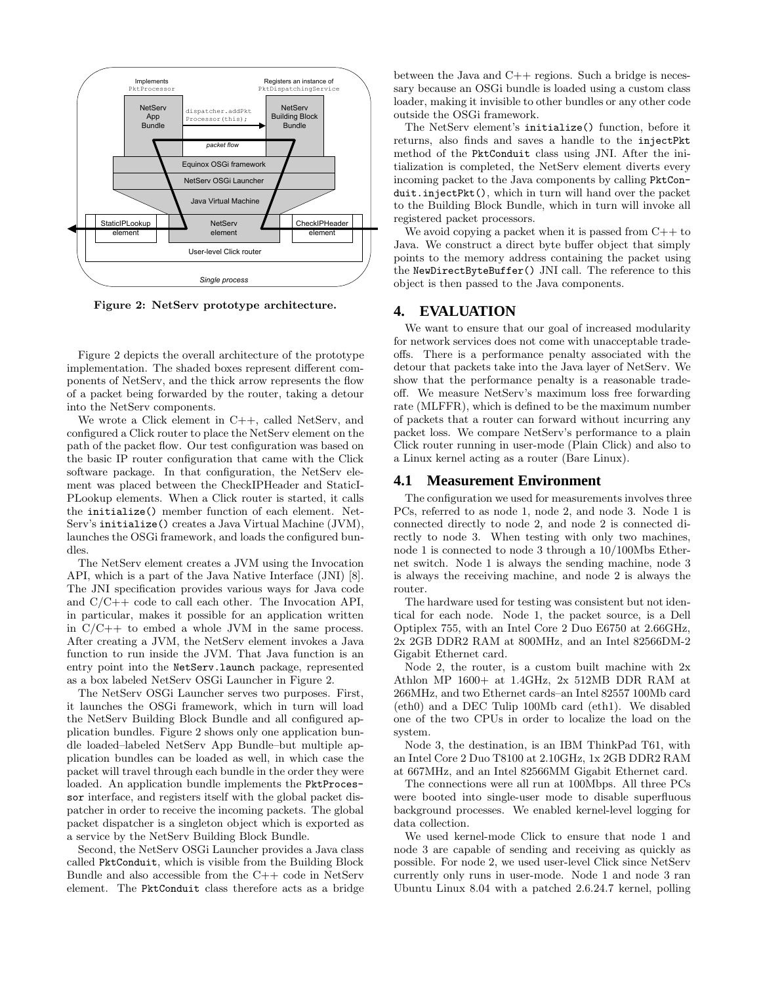

Figure 2: NetServ prototype architecture.

Figure 2 depicts the overall architecture of the prototype implementation. The shaded boxes represent different components of NetServ, and the thick arrow represents the flow of a packet being forwarded by the router, taking a detour into the NetServ components.

We wrote a Click element in C++, called NetServ, and configured a Click router to place the NetServ element on the path of the packet flow. Our test configuration was based on the basic IP router configuration that came with the Click software package. In that configuration, the NetServ element was placed between the CheckIPHeader and StaticI-PLookup elements. When a Click router is started, it calls the initialize() member function of each element. Net-Serv's initialize() creates a Java Virtual Machine (JVM), launches the OSGi framework, and loads the configured bundles.

The NetServ element creates a JVM using the Invocation API, which is a part of the Java Native Interface (JNI) [8]. The JNI specification provides various ways for Java code and  $C/C++$  code to call each other. The Invocation API, in particular, makes it possible for an application written in  $C/C++$  to embed a whole JVM in the same process. After creating a JVM, the NetServ element invokes a Java function to run inside the JVM. That Java function is an entry point into the NetServ.launch package, represented as a box labeled NetServ OSGi Launcher in Figure 2.

The NetServ OSGi Launcher serves two purposes. First, it launches the OSGi framework, which in turn will load the NetServ Building Block Bundle and all configured application bundles. Figure 2 shows only one application bundle loaded–labeled NetServ App Bundle–but multiple application bundles can be loaded as well, in which case the packet will travel through each bundle in the order they were loaded. An application bundle implements the PktProcessor interface, and registers itself with the global packet dispatcher in order to receive the incoming packets. The global packet dispatcher is a singleton object which is exported as a service by the NetServ Building Block Bundle.

Second, the NetServ OSGi Launcher provides a Java class called PktConduit, which is visible from the Building Block Bundle and also accessible from the C++ code in NetServ element. The PktConduit class therefore acts as a bridge

between the Java and  $C++$  regions. Such a bridge is necessary because an OSGi bundle is loaded using a custom class loader, making it invisible to other bundles or any other code outside the OSGi framework.

The NetServ element's initialize() function, before it returns, also finds and saves a handle to the injectPkt method of the PktConduit class using JNI. After the initialization is completed, the NetServ element diverts every incoming packet to the Java components by calling PktConduit.injectPkt(), which in turn will hand over the packet to the Building Block Bundle, which in turn will invoke all registered packet processors.

We avoid copying a packet when it is passed from  $C++$  to Java. We construct a direct byte buffer object that simply points to the memory address containing the packet using the NewDirectByteBuffer() JNI call. The reference to this object is then passed to the Java components.

#### **4. EVALUATION**

We want to ensure that our goal of increased modularity for network services does not come with unacceptable tradeoffs. There is a performance penalty associated with the detour that packets take into the Java layer of NetServ. We show that the performance penalty is a reasonable tradeoff. We measure NetServ's maximum loss free forwarding rate (MLFFR), which is defined to be the maximum number of packets that a router can forward without incurring any packet loss. We compare NetServ's performance to a plain Click router running in user-mode (Plain Click) and also to a Linux kernel acting as a router (Bare Linux).

#### **4.1 Measurement Environment**

The configuration we used for measurements involves three PCs, referred to as node 1, node 2, and node 3. Node 1 is connected directly to node 2, and node 2 is connected directly to node 3. When testing with only two machines, node 1 is connected to node 3 through a 10/100Mbs Ethernet switch. Node 1 is always the sending machine, node 3 is always the receiving machine, and node 2 is always the router.

The hardware used for testing was consistent but not identical for each node. Node 1, the packet source, is a Dell Optiplex 755, with an Intel Core 2 Duo E6750 at 2.66GHz, 2x 2GB DDR2 RAM at 800MHz, and an Intel 82566DM-2 Gigabit Ethernet card.

Node 2, the router, is a custom built machine with 2x Athlon MP 1600+ at 1.4GHz, 2x 512MB DDR RAM at 266MHz, and two Ethernet cards–an Intel 82557 100Mb card (eth0) and a DEC Tulip 100Mb card (eth1). We disabled one of the two CPUs in order to localize the load on the system.

Node 3, the destination, is an IBM ThinkPad T61, with an Intel Core 2 Duo T8100 at 2.10GHz, 1x 2GB DDR2 RAM at 667MHz, and an Intel 82566MM Gigabit Ethernet card.

The connections were all run at 100Mbps. All three PCs were booted into single-user mode to disable superfluous background processes. We enabled kernel-level logging for data collection.

We used kernel-mode Click to ensure that node 1 and node 3 are capable of sending and receiving as quickly as possible. For node 2, we used user-level Click since NetServ currently only runs in user-mode. Node 1 and node 3 ran Ubuntu Linux 8.04 with a patched 2.6.24.7 kernel, polling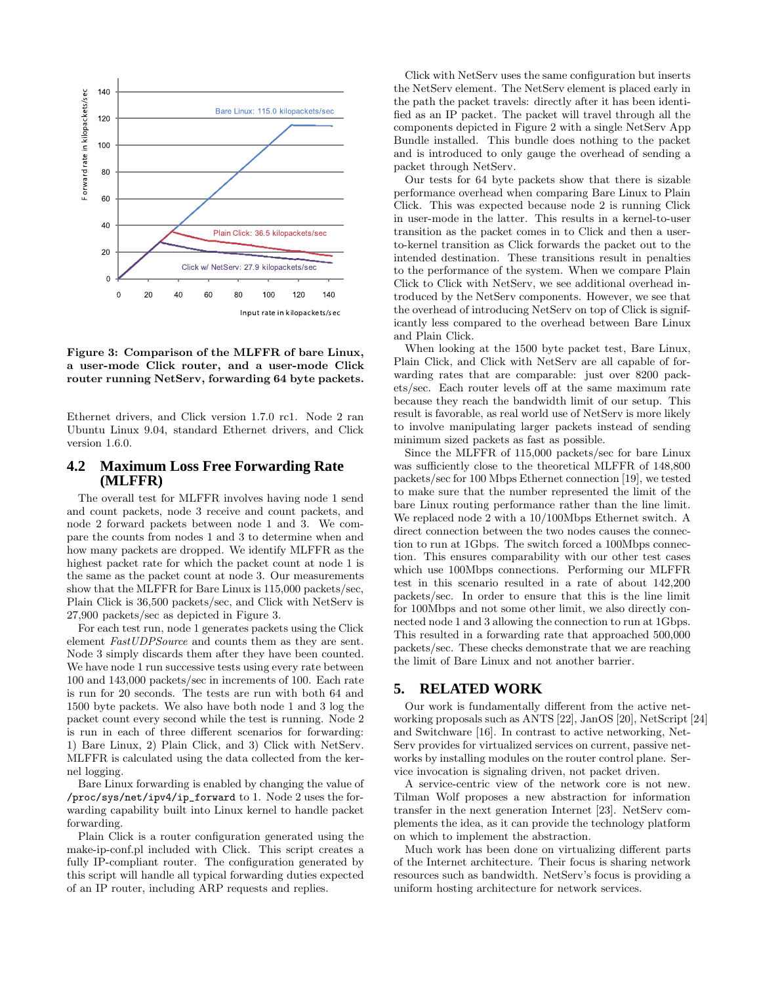

Figure 3: Comparison of the MLFFR of bare Linux, a user-mode Click router, and a user-mode Click router running NetServ, forwarding 64 byte packets.

Ethernet drivers, and Click version 1.7.0 rc1. Node 2 ran Ubuntu Linux 9.04, standard Ethernet drivers, and Click version 1.6.0.

## **4.2 Maximum Loss Free Forwarding Rate (MLFFR)**

The overall test for MLFFR involves having node 1 send and count packets, node 3 receive and count packets, and node 2 forward packets between node 1 and 3. We compare the counts from nodes 1 and 3 to determine when and how many packets are dropped. We identify MLFFR as the highest packet rate for which the packet count at node 1 is the same as the packet count at node 3. Our measurements show that the MLFFR for Bare Linux is 115,000 packets/sec, Plain Click is 36,500 packets/sec, and Click with NetServ is 27,900 packets/sec as depicted in Figure 3.

For each test run, node 1 generates packets using the Click element FastUDPSource and counts them as they are sent. Node 3 simply discards them after they have been counted. We have node 1 run successive tests using every rate between 100 and 143,000 packets/sec in increments of 100. Each rate is run for 20 seconds. The tests are run with both 64 and 1500 byte packets. We also have both node 1 and 3 log the packet count every second while the test is running. Node 2 is run in each of three different scenarios for forwarding: 1) Bare Linux, 2) Plain Click, and 3) Click with NetServ. MLFFR is calculated using the data collected from the kernel logging.

Bare Linux forwarding is enabled by changing the value of /proc/sys/net/ipv4/ip\_forward to 1. Node 2 uses the forwarding capability built into Linux kernel to handle packet forwarding.

Plain Click is a router configuration generated using the make-ip-conf.pl included with Click. This script creates a fully IP-compliant router. The configuration generated by this script will handle all typical forwarding duties expected of an IP router, including ARP requests and replies.

Click with NetServ uses the same configuration but inserts the NetServ element. The NetServ element is placed early in the path the packet travels: directly after it has been identified as an IP packet. The packet will travel through all the components depicted in Figure 2 with a single NetServ App Bundle installed. This bundle does nothing to the packet and is introduced to only gauge the overhead of sending a packet through NetServ.

Our tests for 64 byte packets show that there is sizable performance overhead when comparing Bare Linux to Plain Click. This was expected because node 2 is running Click in user-mode in the latter. This results in a kernel-to-user transition as the packet comes in to Click and then a userto-kernel transition as Click forwards the packet out to the intended destination. These transitions result in penalties to the performance of the system. When we compare Plain Click to Click with NetServ, we see additional overhead introduced by the NetServ components. However, we see that the overhead of introducing NetServ on top of Click is significantly less compared to the overhead between Bare Linux and Plain Click.

When looking at the 1500 byte packet test, Bare Linux, Plain Click, and Click with NetServ are all capable of forwarding rates that are comparable: just over 8200 packets/sec. Each router levels off at the same maximum rate because they reach the bandwidth limit of our setup. This result is favorable, as real world use of NetServ is more likely to involve manipulating larger packets instead of sending minimum sized packets as fast as possible.

Since the MLFFR of 115,000 packets/sec for bare Linux was sufficiently close to the theoretical MLFFR of 148,800 packets/sec for 100 Mbps Ethernet connection [19], we tested to make sure that the number represented the limit of the bare Linux routing performance rather than the line limit. We replaced node 2 with a 10/100Mbps Ethernet switch. A direct connection between the two nodes causes the connection to run at 1Gbps. The switch forced a 100Mbps connection. This ensures comparability with our other test cases which use 100Mbps connections. Performing our MLFFR test in this scenario resulted in a rate of about 142,200 packets/sec. In order to ensure that this is the line limit for 100Mbps and not some other limit, we also directly connected node 1 and 3 allowing the connection to run at 1Gbps. This resulted in a forwarding rate that approached 500,000 packets/sec. These checks demonstrate that we are reaching the limit of Bare Linux and not another barrier.

## **5. RELATED WORK**

Our work is fundamentally different from the active networking proposals such as ANTS [22], JanOS [20], NetScript [24] and Switchware [16]. In contrast to active networking, Net-Serv provides for virtualized services on current, passive networks by installing modules on the router control plane. Service invocation is signaling driven, not packet driven.

A service-centric view of the network core is not new. Tilman Wolf proposes a new abstraction for information transfer in the next generation Internet [23]. NetServ complements the idea, as it can provide the technology platform on which to implement the abstraction.

Much work has been done on virtualizing different parts of the Internet architecture. Their focus is sharing network resources such as bandwidth. NetServ's focus is providing a uniform hosting architecture for network services.